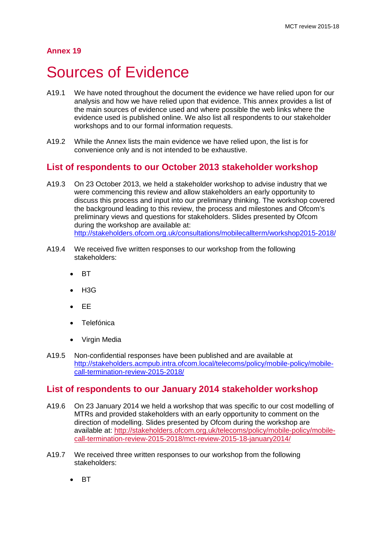# **Annex 19**

# Sources of Evidence

- A19.1 We have noted throughout the document the evidence we have relied upon for our analysis and how we have relied upon that evidence. This annex provides a list of the main sources of evidence used and where possible the web links where the evidence used is published online. We also list all respondents to our stakeholder workshops and to our formal information requests.
- A19.2 While the Annex lists the main evidence we have relied upon, the list is for convenience only and is not intended to be exhaustive.

# **List of respondents to our October 2013 stakeholder workshop**

- A19.3 On 23 October 2013, we held a stakeholder workshop to advise industry that we were commencing this review and allow stakeholders an early opportunity to discuss this process and input into our preliminary thinking. The workshop covered the background leading to this review, the process and milestones and Ofcom's preliminary views and questions for stakeholders. Slides presented by Ofcom during the workshop are available at: <http://stakeholders.ofcom.org.uk/consultations/mobilecallterm/workshop2015-2018/>
- A19.4 We received five written responses to our workshop from the following stakeholders:
	- BT
	- $H3G$
	- EE
	- **Telefónica**
	- Virgin Media
- A19.5 Non-confidential responses have been published and are available at [http://stakeholders.acmpub.intra.ofcom.local/telecoms/policy/mobile-policy/mobile](http://stakeholders.acmpub.intra.ofcom.local/telecoms/policy/mobile-policy/mobile-call-termination-review-2015-2018/)[call-termination-review-2015-2018/](http://stakeholders.acmpub.intra.ofcom.local/telecoms/policy/mobile-policy/mobile-call-termination-review-2015-2018/)

# **List of respondents to our January 2014 stakeholder workshop**

- A19.6 On 23 January 2014 we held a workshop that was specific to our cost modelling of MTRs and provided stakeholders with an early opportunity to comment on the direction of modelling. Slides presented by Ofcom during the workshop are available at: [http://stakeholders.ofcom.org.uk/telecoms/policy/mobile-policy/mobile](http://stakeholders.ofcom.org.uk/telecoms/policy/mobile-policy/mobile-call-termination-review-2015-2018/mct-review-2015-18-january2014/)[call-termination-review-2015-2018/mct-review-2015-18-january2014/](http://stakeholders.ofcom.org.uk/telecoms/policy/mobile-policy/mobile-call-termination-review-2015-2018/mct-review-2015-18-january2014/)
- A19.7 We received three written responses to our workshop from the following stakeholders:
	- BT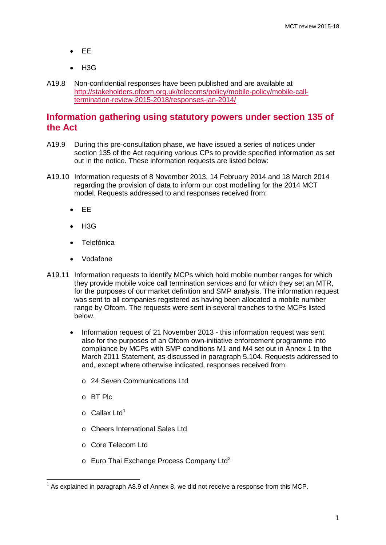- EE
- H3G
- A19.8 Non-confidential responses have been published and are available at [http://stakeholders.ofcom.org.uk/telecoms/policy/mobile-policy/mobile-call](http://stakeholders.ofcom.org.uk/telecoms/policy/mobile-policy/mobile-call-termination-review-2015-2018/responses-jan-2014/)[termination-review-2015-2018/responses-jan-2014/](http://stakeholders.ofcom.org.uk/telecoms/policy/mobile-policy/mobile-call-termination-review-2015-2018/responses-jan-2014/)

# **Information gathering using statutory powers under section 135 of the Act**

- A19.9 During this pre-consultation phase, we have issued a series of notices under section 135 of the Act requiring various CPs to provide specified information as set out in the notice. These information requests are listed below:
- A19.10 Information requests of 8 November 2013, 14 February 2014 and 18 March 2014 regarding the provision of data to inform our cost modelling for the 2014 MCT model. Requests addressed to and responses received from:
	- EE
	- $H3G$
	- **Telefónica**
	- Vodafone
- A19.11 Information requests to identify MCPs which hold mobile number ranges for which they provide mobile voice call termination services and for which they set an MTR, for the purposes of our market definition and SMP analysis. The information request was sent to all companies registered as having been allocated a mobile number range by Ofcom. The requests were sent in several tranches to the MCPs listed below.
	- Information request of 21 November 2013 this information request was sent also for the purposes of an Ofcom own-initiative enforcement programme into compliance by MCPs with SMP conditions M1 and M4 set out in Annex 1 to the March 2011 Statement, as discussed in paragraph 5.104. Requests addressed to and, except where otherwise indicated, responses received from:
		- o 24 Seven Communications Ltd
		- o BT Plc
		- $\circ$  Callax Ltd<sup>[1](#page-1-0)</sup>
		- o Cheers International Sales Ltd
		- o Core Telecom Ltd
		- $\circ$  Euro Thai Exchange Process Company Ltd<sup>[2](#page-1-1)</sup>

<span id="page-1-1"></span><span id="page-1-0"></span> $1$  As explained in paragraph A8.9 of Annex 8, we did not receive a response from this MCP.  $\overline{a}$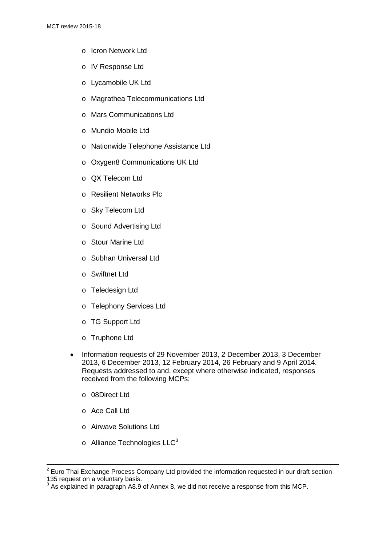- o Icron Network Ltd
- o IV Response Ltd
- o Lycamobile UK Ltd
- o Magrathea Telecommunications Ltd
- o Mars Communications Ltd
- o Mundio Mobile Ltd
- o Nationwide Telephone Assistance Ltd
- o Oxygen8 Communications UK Ltd
- o QX Telecom Ltd
- o Resilient Networks Plc
- o Sky Telecom Ltd
- o Sound Advertising Ltd
- o Stour Marine Ltd
- o Subhan Universal Ltd
- o Swiftnet Ltd
- o Teledesign Ltd
- o Telephony Services Ltd
- o TG Support Ltd
- o Truphone Ltd
- Information requests of 29 November 2013, 2 December 2013, 3 December 2013, 6 December 2013, 12 February 2014, 26 February and 9 April 2014. Requests addressed to and, except where otherwise indicated, responses received from the following MCPs:
	- o 08Direct Ltd
	- o Ace Call Ltd

 $\overline{a}$ 

- o Airwave Solutions Ltd
- $\circ$  Alliance Technologies LLC<sup>[3](#page-2-0)</sup>

 $2$  Euro Thai Exchange Process Company Ltd provided the information requested in our draft section 135 request on a voluntary basis.

<span id="page-2-0"></span> $3$  As explained in paragraph A8.9 of Annex 8, we did not receive a response from this MCP.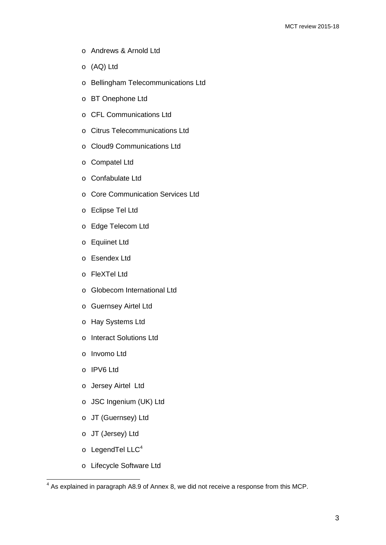- o Andrews & Arnold Ltd
- o (AQ) Ltd
- o Bellingham Telecommunications Ltd
- o BT Onephone Ltd
- o CFL Communications Ltd
- o Citrus Telecommunications Ltd
- o Cloud9 Communications Ltd
- o Compatel Ltd
- o Confabulate Ltd
- o Core Communication Services Ltd
- o Eclipse Tel Ltd
- o Edge Telecom Ltd
- o Equiinet Ltd
- o Esendex Ltd
- o FleXTel Ltd
- o Globecom International Ltd
- o Guernsey Airtel Ltd
- o Hay Systems Ltd
- o Interact Solutions Ltd
- o Invomo Ltd
- o IPV6 Ltd
- o Jersey Airtel Ltd
- o JSC Ingenium (UK) Ltd
- o JT (Guernsey) Ltd
- o JT (Jersey) Ltd
- o LegendTel LLC<sup>[4](#page-3-0)</sup>

 $\overline{a}$ 

o Lifecycle Software Ltd

<span id="page-3-0"></span> $<sup>4</sup>$  As explained in paragraph A8.9 of Annex 8, we did not receive a response from this MCP.</sup>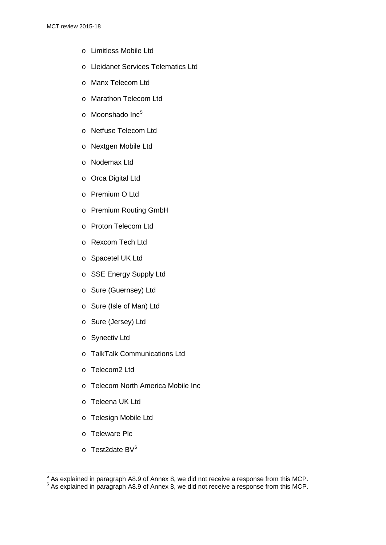- o Limitless Mobile Ltd
- o Lleidanet Services Telematics Ltd
- o Manx Telecom Ltd
- o Marathon Telecom Ltd
- $\circ$  Moonshado Inc<sup>[5](#page-4-0)</sup>
- o Netfuse Telecom Ltd
- o Nextgen Mobile Ltd
- o Nodemax Ltd
- o Orca Digital Ltd
- o Premium O Ltd
- o Premium Routing GmbH
- o Proton Telecom Ltd
- o Rexcom Tech Ltd
- o Spacetel UK Ltd
- o SSE Energy Supply Ltd
- o Sure (Guernsey) Ltd
- o Sure (Isle of Man) Ltd
- o Sure (Jersey) Ltd
- o Synectiv Ltd
- o TalkTalk Communications Ltd
- o Telecom2 Ltd
- o Telecom North America Mobile Inc
- o Teleena UK Ltd
- o Telesign Mobile Ltd
- o Teleware Plc
- $\circ$  Test2date BV<sup>[6](#page-4-1)</sup>

 $\overline{a}$ 

<span id="page-4-0"></span> $\frac{5}{3}$  As explained in paragraph A8.9 of Annex 8, we did not receive a response from this MCP.

<span id="page-4-1"></span> $6$  As explained in paragraph A8.9 of Annex 8, we did not receive a response from this MCP.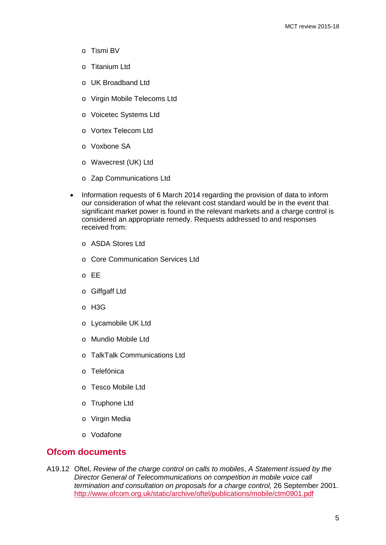- o Tismi BV
- o Titanium Ltd
- o UK Broadband Ltd
- o Virgin Mobile Telecoms Ltd
- o Voicetec Systems Ltd
- o Vortex Telecom Ltd
- o Voxbone SA
- o Wavecrest (UK) Ltd
- o Zap Communications Ltd
- Information requests of 6 March 2014 regarding the provision of data to inform our consideration of what the relevant cost standard would be in the event that significant market power is found in the relevant markets and a charge control is considered an appropriate remedy. Requests addressed to and responses received from:
	- o ASDA Stores Ltd
	- o Core Communication Services Ltd
	- o EE
	- o Giffgaff Ltd
	- o H3G
	- o Lycamobile UK Ltd
	- o Mundio Mobile Ltd
	- o TalkTalk Communications Ltd
	- o Telefónica
	- o Tesco Mobile Ltd
	- o Truphone Ltd
	- o Virgin Media
	- o Vodafone

# **Ofcom documents**

A19.12 Oftel, *Review of the charge control on calls to mobiles*, *A Statement issued by the Director General of Telecommunications on competition in mobile voice call termination and consultation on proposals for a charge control,* 26 September 2001. <http://www.ofcom.org.uk/static/archive/oftel/publications/mobile/ctm0901.pdf>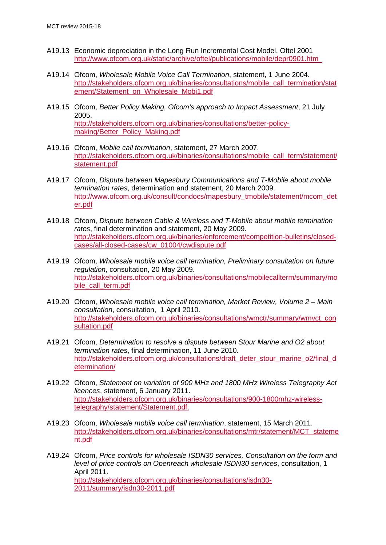- A19.13 Economic depreciation in the Long Run Incremental Cost Model, Oftel 2001 <http://www.ofcom.org.uk/static/archive/oftel/publications/mobile/depr0901.htm>
- A19.14 Ofcom, *Wholesale Mobile Voice Call Termination*, statement, 1 June 2004. [http://stakeholders.ofcom.org.uk/binaries/consultations/mobile\\_call\\_termination/stat](http://stakeholders.ofcom.org.uk/binaries/consultations/mobile_call_termination/statement/Statement_on_Wholesale_Mobi1.pdf) [ement/Statement\\_on\\_Wholesale\\_Mobi1.pdf](http://stakeholders.ofcom.org.uk/binaries/consultations/mobile_call_termination/statement/Statement_on_Wholesale_Mobi1.pdf)
- A19.15 Ofcom, *Better Policy Making, Ofcom's approach to Impact Assessment*, 21 July 2005. [http://stakeholders.ofcom.org.uk/binaries/consultations/better-policy](http://stakeholders.ofcom.org.uk/binaries/consultations/better-policy-making/Better_Policy_Making.pdf)[making/Better\\_Policy\\_Making.pdf](http://stakeholders.ofcom.org.uk/binaries/consultations/better-policy-making/Better_Policy_Making.pdf)
- A19.16 Ofcom, *Mobile call termination*, statement, 27 March 2007. [http://stakeholders.ofcom.org.uk/binaries/consultations/mobile\\_call\\_term/statement/](http://stakeholders.ofcom.org.uk/binaries/consultations/mobile_call_term/statement/statement.pdf) [statement.pdf](http://stakeholders.ofcom.org.uk/binaries/consultations/mobile_call_term/statement/statement.pdf)
- A19.17 Ofcom, *Dispute between Mapesbury Communications and T-Mobile about mobile termination rates*, determination and statement, 20 March 2009. [http://www.ofcom.org.uk/consult/condocs/mapesbury\\_tmobile/statement/mcom\\_det](http://www.ofcom.org.uk/consult/condocs/mapesbury_tmobile/statement/mcom_deter.pdf) [er.pdf](http://www.ofcom.org.uk/consult/condocs/mapesbury_tmobile/statement/mcom_deter.pdf)
- A19.18 Ofcom, *Dispute between Cable & Wireless and T-Mobile about mobile termination rates*, final determination and statement, 20 May 2009. [http://stakeholders.ofcom.org.uk/binaries/enforcement/competition-bulletins/closed](http://stakeholders.ofcom.org.uk/binaries/enforcement/competition-bulletins/closed-cases/all-closed-cases/cw_01004/cwdispute.pdf)[cases/all-closed-cases/cw\\_01004/cwdispute.pdf](http://stakeholders.ofcom.org.uk/binaries/enforcement/competition-bulletins/closed-cases/all-closed-cases/cw_01004/cwdispute.pdf)
- A19.19 Ofcom, *Wholesale mobile voice call termination, Preliminary consultation on future regulation*, consultation, 20 May 2009. [http://stakeholders.ofcom.org.uk/binaries/consultations/mobilecallterm/summary/mo](http://stakeholders.ofcom.org.uk/binaries/consultations/mobilecallterm/summary/mobile_call_term.pdf) [bile\\_call\\_term.pdf](http://stakeholders.ofcom.org.uk/binaries/consultations/mobilecallterm/summary/mobile_call_term.pdf)
- A19.20 Ofcom, *Wholesale mobile voice call termination, Market Review, Volume 2 – Main consultation*, consultation, 1 April 2010. [http://stakeholders.ofcom.org.uk/binaries/consultations/wmctr/summary/wmvct\\_con](http://stakeholders.ofcom.org.uk/binaries/consultations/wmctr/summary/wmvct_consultation.pdf) [sultation.pdf](http://stakeholders.ofcom.org.uk/binaries/consultations/wmctr/summary/wmvct_consultation.pdf)
- A19.21 Ofcom, *Determination to resolve a dispute between Stour Marine and O2 about termination rates*, final determination, 11 June 2010. [http://stakeholders.ofcom.org.uk/consultations/draft\\_deter\\_stour\\_marine\\_o2/final\\_d](http://stakeholders.ofcom.org.uk/consultations/draft_deter_stour_marine_o2/final_determination/) [etermination/](http://stakeholders.ofcom.org.uk/consultations/draft_deter_stour_marine_o2/final_determination/)
- A19.22 Ofcom, *Statement on variation of 900 MHz and 1800 MHz Wireless Telegraphy Act licences*, statement, 6 January 2011. [http://stakeholders.ofcom.org.uk/binaries/consultations/900-1800mhz-wireless](http://stakeholders.ofcom.org.uk/binaries/consultations/900-1800mhz-wireless-telegraphy/statement/Statement.pdf)[telegraphy/statement/Statement.pdf.](http://stakeholders.ofcom.org.uk/binaries/consultations/900-1800mhz-wireless-telegraphy/statement/Statement.pdf)
- A19.23 Ofcom, *Wholesale mobile voice call termination*, statement, 15 March 2011. [http://stakeholders.ofcom.org.uk/binaries/consultations/mtr/statement/MCT\\_stateme](http://stakeholders.ofcom.org.uk/binaries/consultations/mtr/statement/MCT_statement.pdf) [nt.pdf](http://stakeholders.ofcom.org.uk/binaries/consultations/mtr/statement/MCT_statement.pdf)
- A19.24 Ofcom, *Price controls for wholesale ISDN30 services, Consultation on the form and level of price controls on Openreach wholesale ISDN30 services*, consultation, 1 April 2011. [http://stakeholders.ofcom.org.uk/binaries/consultations/isdn30-](http://stakeholders.ofcom.org.uk/binaries/consultations/isdn30-2011/summary/isdn30-2011.pdf) [2011/summary/isdn30-2011.pdf](http://stakeholders.ofcom.org.uk/binaries/consultations/isdn30-2011/summary/isdn30-2011.pdf)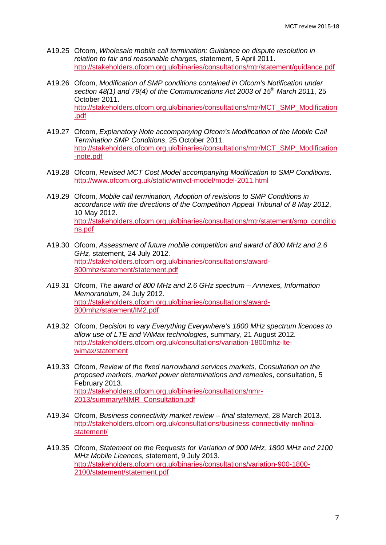- A19.25 Ofcom, *Wholesale mobile call termination: Guidance on dispute resolution in relation to fair and reasonable charges,* statement, 5 April 2011. <http://stakeholders.ofcom.org.uk/binaries/consultations/mtr/statement/guidance.pdf>
- A19.26 Ofcom, *Modification of SMP conditions contained in Ofcom's Notification under section 48(1) and 79(4) of the Communications Act 2003 of 15th March 2011*, 25 October 2011. [http://stakeholders.ofcom.org.uk/binaries/consultations/mtr/MCT\\_SMP\\_Modification](http://stakeholders.ofcom.org.uk/binaries/consultations/mtr/MCT_SMP_Modification.pdf) [.pdf](http://stakeholders.ofcom.org.uk/binaries/consultations/mtr/MCT_SMP_Modification.pdf)
- A19.27 Ofcom, *Explanatory Note accompanying Ofcom's Modification of the Mobile Call Termination SMP Conditions*, 25 October 2011. [http://stakeholders.ofcom.org.uk/binaries/consultations/mtr/MCT\\_SMP\\_Modification](http://stakeholders.ofcom.org.uk/binaries/consultations/mtr/MCT_SMP_Modification-note.pdf) [-note.pdf](http://stakeholders.ofcom.org.uk/binaries/consultations/mtr/MCT_SMP_Modification-note.pdf)
- A19.28 Ofcom, *Revised MCT Cost Model accompanying Modification to SMP Conditions*. <http://www.ofcom.org.uk/static/wmvct-model/model-2011.html>
- A19.29 Ofcom, *Mobile call termination, Adoption of revisions to SMP Conditions in accordance with the directions of the Competition Appeal Tribunal of 8 May 2012*, 10 May 2012. [http://stakeholders.ofcom.org.uk/binaries/consultations/mtr/statement/smp\\_conditio](http://stakeholders.ofcom.org.uk/binaries/consultations/mtr/statement/smp_conditions.pdf) [ns.pdf](http://stakeholders.ofcom.org.uk/binaries/consultations/mtr/statement/smp_conditions.pdf)
- A19.30 Ofcom, *Assessment of future mobile competition and award of 800 MHz and 2.6 GHz,* statement, 24 July 2012. [http://stakeholders.ofcom.org.uk/binaries/consultations/award-](http://stakeholders.ofcom.org.uk/binaries/consultations/award-800mhz/statement/statement.pdf)[800mhz/statement/statement.pdf](http://stakeholders.ofcom.org.uk/binaries/consultations/award-800mhz/statement/statement.pdf)
- *A19.31* Ofcom, *The award of 800 MHz and 2.6 GHz spectrum – Annexes, Information Memorandum*, 24 July 2012. [http://stakeholders.ofcom.org.uk/binaries/consultations/award-](http://stakeholders.ofcom.org.uk/binaries/consultations/award-800mhz/statement/IM2.pdf)[800mhz/statement/IM2.pdf](http://stakeholders.ofcom.org.uk/binaries/consultations/award-800mhz/statement/IM2.pdf)
- A19.32 Ofcom, *Decision to vary Everything Everywhere's 1800 MHz spectrum licences to allow use of LTE and WiMax technologies*, summary, 21 August 2012. [http://stakeholders.ofcom.org.uk/consultations/variation-1800mhz-lte](http://stakeholders.ofcom.org.uk/consultations/variation-1800mhz-lte-wimax/statement)[wimax/statement](http://stakeholders.ofcom.org.uk/consultations/variation-1800mhz-lte-wimax/statement)
- A19.33 Ofcom, *Review of the fixed narrowband services markets, Consultation on the proposed markets, market power determinations and remedies*, consultation, 5 February 2013. [http://stakeholders.ofcom.org.uk/binaries/consultations/nmr-](http://stakeholders.ofcom.org.uk/binaries/consultations/nmr-2013/summary/NMR_Consultation.pdf)[2013/summary/NMR\\_Consultation.pdf](http://stakeholders.ofcom.org.uk/binaries/consultations/nmr-2013/summary/NMR_Consultation.pdf)
- A19.34 Ofcom, *Business connectivity market review – final statement*, 28 March 2013. [http://stakeholders.ofcom.org.uk/consultations/business-connectivity-mr/final](http://stakeholders.ofcom.org.uk/consultations/business-connectivity-mr/final-statement/)[statement/](http://stakeholders.ofcom.org.uk/consultations/business-connectivity-mr/final-statement/)
- A19.35 Ofcom, *Statement on the Requests for Variation of 900 MHz, 1800 MHz and 2100 MHz Mobile Licences,* statement, 9 July 2013. [http://stakeholders.ofcom.org.uk/binaries/consultations/variation-900-1800-](http://stakeholders.ofcom.org.uk/binaries/consultations/variation-900-1800-2100/statement/statement.pdf) [2100/statement/statement.pdf](http://stakeholders.ofcom.org.uk/binaries/consultations/variation-900-1800-2100/statement/statement.pdf)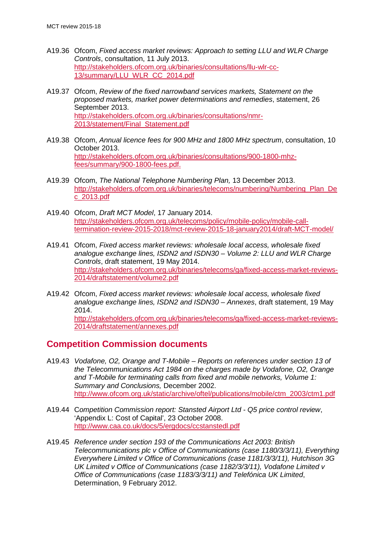- A19.36 Ofcom, *Fixed access market reviews: Approach to setting LLU and WLR Charge Controls*, consultation, 11 July 2013. [http://stakeholders.ofcom.org.uk/binaries/consultations/llu-wlr-cc-](http://stakeholders.ofcom.org.uk/binaries/consultations/llu-wlr-cc-13/summary/LLU_WLR_CC_2014.pdf)[13/summary/LLU\\_WLR\\_CC\\_2014.pdf](http://stakeholders.ofcom.org.uk/binaries/consultations/llu-wlr-cc-13/summary/LLU_WLR_CC_2014.pdf)
- A19.37 Ofcom, *Review of the fixed narrowband services markets, Statement on the proposed markets, market power determinations and remedies*, statement, 26 September 2013. [http://stakeholders.ofcom.org.uk/binaries/consultations/nmr-](http://stakeholders.ofcom.org.uk/binaries/consultations/nmr-2013/statement/Final_Statement.pdf)[2013/statement/Final\\_Statement.pdf](http://stakeholders.ofcom.org.uk/binaries/consultations/nmr-2013/statement/Final_Statement.pdf)
- A19.38 Ofcom, *Annual licence fees for 900 MHz and 1800 MHz spectrum*, consultation, 10 October 2013. [http://stakeholders.ofcom.org.uk/binaries/consultations/900-1800-mhz](http://stakeholders.ofcom.org.uk/binaries/consultations/900-1800-mhz-fees/summary/900-1800-fees.pdf)[fees/summary/900-1800-fees.pdf.](http://stakeholders.ofcom.org.uk/binaries/consultations/900-1800-mhz-fees/summary/900-1800-fees.pdf)
- A19.39 Ofcom, *The National Telephone Numbering Plan,* 13 December 2013. [http://stakeholders.ofcom.org.uk/binaries/telecoms/numbering/Numbering\\_Plan\\_De](http://stakeholders.ofcom.org.uk/binaries/telecoms/numbering/Numbering_Plan_Dec_2013.pdf) [c\\_2013.pdf](http://stakeholders.ofcom.org.uk/binaries/telecoms/numbering/Numbering_Plan_Dec_2013.pdf)
- A19.40 Ofcom, *Draft MCT Model*, 17 January 2014. [http://stakeholders.ofcom.org.uk/telecoms/policy/mobile-policy/mobile-call](http://stakeholders.ofcom.org.uk/telecoms/policy/mobile-policy/mobile-call-termination-review-2015-2018/mct-review-2015-18-january2014/draft-MCT-model/)[termination-review-2015-2018/mct-review-2015-18-january2014/draft-MCT-model/](http://stakeholders.ofcom.org.uk/telecoms/policy/mobile-policy/mobile-call-termination-review-2015-2018/mct-review-2015-18-january2014/draft-MCT-model/)
- A19.41 Ofcom, *Fixed access market reviews: wholesale local access, wholesale fixed analogue exchange lines, ISDN2 and ISDN30 – Volume 2: LLU and WLR Charge Controls*, draft statement, 19 May 2014. [http://stakeholders.ofcom.org.uk/binaries/telecoms/ga/fixed-access-market-reviews-](http://stakeholders.ofcom.org.uk/binaries/telecoms/ga/fixed-access-market-reviews-2014/draftstatement/volume2.pdf)[2014/draftstatement/volume2.pdf](http://stakeholders.ofcom.org.uk/binaries/telecoms/ga/fixed-access-market-reviews-2014/draftstatement/volume2.pdf)
- A19.42 Ofcom, *Fixed access market reviews: wholesale local access, wholesale fixed analogue exchange lines, ISDN2 and ISDN30 – Annexes*, draft statement, 19 May 2014. [http://stakeholders.ofcom.org.uk/binaries/telecoms/ga/fixed-access-market-reviews-](http://stakeholders.ofcom.org.uk/binaries/telecoms/ga/fixed-access-market-reviews-2014/draftstatement/annexes.pdf)[2014/draftstatement/annexes.pdf](http://stakeholders.ofcom.org.uk/binaries/telecoms/ga/fixed-access-market-reviews-2014/draftstatement/annexes.pdf)

# **Competition Commission documents**

- A19.43 *Vodafone, O2, Orange and T-Mobile – Reports on references under section 13 of the Telecommunications Act 1984 on the charges made by Vodafone, O2, Orange and T-Mobile for terminating calls from fixed and mobile networks, Volume 1: Summary and Conclusions,* December 2002. [http://www.ofcom.org.uk/static/archive/oftel/publications/mobile/ctm\\_2003/ctm1.pdf](http://www.ofcom.org.uk/static/archive/oftel/publications/mobile/ctm_2003/ctm1.pdf)
- A19.44 C*ompetition Commission report: Stansted Airport Ltd - Q5 price control review*, 'Appendix L: Cost of Capital', 23 October 2008. <http://www.caa.co.uk/docs/5/ergdocs/ccstanstedl.pdf>
- A19.45 *Reference under section 193 of the Communications Act 2003: British Telecommunications plc v Office of Communications (case 1180/3/3/11), Everything Everywhere Limited v Office of Communications (case 1181/3/3/11), Hutchison 3G UK Limited v Office of Communications (case 1182/3/3/11), Vodafone Limited v Office of Communications (case 1183/3/3/11) and Telefónica UK Limited*, Determination, 9 February 2012.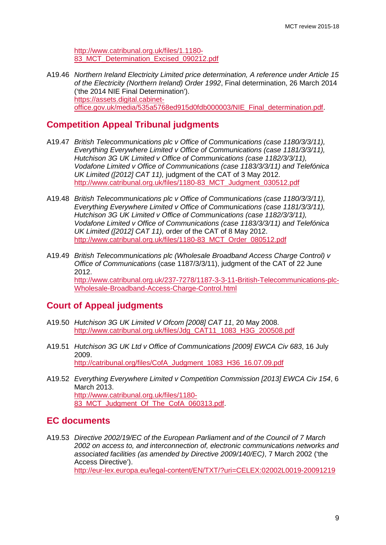[http://www.catribunal.org.uk/files/1.1180-](http://www.catribunal.org.uk/files/1.1180-83_MCT_Determination_Excised_090212.pdf) [83\\_MCT\\_Determination\\_Excised\\_090212.pdf](http://www.catribunal.org.uk/files/1.1180-83_MCT_Determination_Excised_090212.pdf)

A19.46 *Northern Ireland Electricity Limited price determination, A reference under Article 15 of the Electricity (Northern Ireland) Order 1992*, Final determination, 26 March 2014 ('the 2014 NIE Final Determination'). [https://assets.digital.cabinet](https://assets.digital.cabinet-office.gov.uk/media/535a5768ed915d0fdb000003/NIE_Final_determination.pdf)[office.gov.uk/media/535a5768ed915d0fdb000003/NIE\\_Final\\_determination.pdf.](https://assets.digital.cabinet-office.gov.uk/media/535a5768ed915d0fdb000003/NIE_Final_determination.pdf)

# **Competition Appeal Tribunal judgments**

- A19.47 *British Telecommunications plc v Office of Communications (case 1180/3/3/11), Everything Everywhere Limited v Office of Communications (case 1181/3/3/11), Hutchison 3G UK Limited v Office of Communications (case 1182/3/3/11), Vodafone Limited v Office of Communications (case 1183/3/3/11) and Telefónica UK Limited ([2012] CAT 11),* judgment of the CAT of 3 May 2012. [http://www.catribunal.org.uk/files/1180-83\\_MCT\\_Judgment\\_030512.pdf](http://www.catribunal.org.uk/files/1180-83_MCT_Judgment_030512.pdf)
- A19.48 *British Telecommunications plc v Office of Communications (case 1180/3/3/11), Everything Everywhere Limited v Office of Communications (case 1181/3/3/11), Hutchison 3G UK Limited v Office of Communications (case 1182/3/3/11), Vodafone Limited v Office of Communications (case 1183/3/3/11) and Telefónica UK Limited ([2012] CAT 11),* order of the CAT of 8 May 2012. [http://www.catribunal.org.uk/files/1180-83\\_MCT\\_Order\\_080512.pdf](http://www.catribunal.org.uk/files/1180-83_MCT_Order_080512.pdf)
- A19.49 *British Telecommunications plc (Wholesale Broadband Access Charge Control) v Office of Communications* (case 1187/3/3/11), judgment of the CAT of 22 June 2012. [http://www.catribunal.org.uk/237-7278/1187-3-3-11-British-Telecommunications-plc-](http://www.catribunal.org.uk/237-7278/1187-3-3-11-British-Telecommunications-plc-Wholesale-Broadband-Access-Charge-Control.html)[Wholesale-Broadband-Access-Charge-Control.html](http://www.catribunal.org.uk/237-7278/1187-3-3-11-British-Telecommunications-plc-Wholesale-Broadband-Access-Charge-Control.html)

# **Court of Appeal judgments**

- A19.50 *Hutchison 3G UK Limited V Ofcom [2008] CAT 11*, 20 May 2008. [http://www.catribunal.org.uk/files/Jdg\\_CAT11\\_1083\\_H3G\\_200508.pdf](http://www.catribunal.org.uk/files/Jdg_CAT11_1083_H3G_200508.pdf)
- A19.51 *Hutchison 3G UK Ltd v Office of Communications [2009] EWCA Civ 683*, 16 July 2009. [http://catribunal.org/files/CofA\\_Judgment\\_1083\\_H36\\_16.07.09.pdf](http://catribunal.org/files/CofA_Judgment_1083_H36_16.07.09.pdf)
- A19.52 *Everything Everywhere Limited v Competition Commission [2013] EWCA Civ 154*, 6 March 2013. [http://www.catribunal.org.uk/files/1180-](http://www.catribunal.org.uk/files/1180-83_MCT_Judgment_Of_The_CofA_060313.pdf) 83 MCT Judgment Of The CofA 060313.pdf.

# **EC documents**

A19.53 *Directive 2002/19/EC of the European Parliament and of the Council of 7 March 2002 on access to, and interconnection of, electronic communications networks and associated facilities (as amended by Directive 2009/140/EC)*, 7 March 2002 ('the Access Directive'). <http://eur-lex.europa.eu/legal-content/EN/TXT/?uri=CELEX:02002L0019-20091219>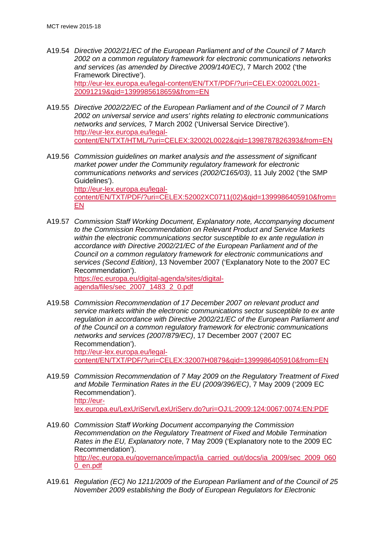- A19.54 *Directive 2002/21/EC of the European Parliament and of the Council of 7 March 2002 on a common regulatory framework for electronic communications networks and services (as amended by Directive 2009/140/EC)*, 7 March 2002 ('the Framework Directive'). [http://eur-lex.europa.eu/legal-content/EN/TXT/PDF/?uri=CELEX:02002L0021-](http://eur-lex.europa.eu/legal-content/EN/TXT/PDF/?uri=CELEX:02002L0021-20091219&qid=1399985618659&from=EN) [20091219&qid=1399985618659&from=EN](http://eur-lex.europa.eu/legal-content/EN/TXT/PDF/?uri=CELEX:02002L0021-20091219&qid=1399985618659&from=EN)
- A19.55 *Directive 2002/22/EC of the European Parliament and of the Council of 7 March 2002 on universal service and users' rights relating to electronic communications networks and services,* 7 March 2002 ('Universal Service Directive'). [http://eur-lex.europa.eu/legal](http://eur-lex.europa.eu/legal-content/EN/TXT/HTML/?uri=CELEX:32002L0022&qid=1398787826393&from=EN)[content/EN/TXT/HTML/?uri=CELEX:32002L0022&qid=1398787826393&from=EN](http://eur-lex.europa.eu/legal-content/EN/TXT/HTML/?uri=CELEX:32002L0022&qid=1398787826393&from=EN)
- A19.56 *Commission guidelines on market analysis and the assessment of significant market power under the Community regulatory framework for electronic communications networks and services (2002/C165/03)*, 11 July 2002 ('the SMP Guidelines'). [http://eur-lex.europa.eu/legal](http://eur-lex.europa.eu/legal-content/EN/TXT/PDF/?uri=CELEX:52002XC0711(02)&qid=1399986405910&from=EN)[content/EN/TXT/PDF/?uri=CELEX:52002XC0711\(02\)&qid=1399986405910&from=](http://eur-lex.europa.eu/legal-content/EN/TXT/PDF/?uri=CELEX:52002XC0711(02)&qid=1399986405910&from=EN) [EN](http://eur-lex.europa.eu/legal-content/EN/TXT/PDF/?uri=CELEX:52002XC0711(02)&qid=1399986405910&from=EN)
- A19.57 *Commission Staff Working Document, Explanatory note, Accompanying document to the Commission Recommendation on Relevant Product and Service Markets within the electronic communications sector susceptible to ex ante regulation in accordance with Directive 2002/21/EC of the European Parliament and of the Council on a common regulatory framework for electronic communications and services (Second Edition)*, 13 November 2007 ('Explanatory Note to the 2007 EC Recommendation'). [https://ec.europa.eu/digital-agenda/sites/digital](https://ec.europa.eu/digital-agenda/sites/digital-agenda/files/sec_2007_1483_2_0.pdf)[agenda/files/sec\\_2007\\_1483\\_2\\_0.pdf](https://ec.europa.eu/digital-agenda/sites/digital-agenda/files/sec_2007_1483_2_0.pdf)
- A19.58 *Commission Recommendation of 17 December 2007 on relevant product and service markets within the electronic communications sector susceptible to ex ante regulation in accordance with Directive 2002/21/EC of the European Parliament and of the Council on a common regulatory framework for electronic communications networks and services (2007/879/EC)*, 17 December 2007 ('2007 EC Recommendation'). [http://eur-lex.europa.eu/legal](http://eur-lex.europa.eu/legal-content/EN/TXT/PDF/?uri=CELEX:32007H0879&qid=1399986405910&from=EN)[content/EN/TXT/PDF/?uri=CELEX:32007H0879&qid=1399986405910&from=EN](http://eur-lex.europa.eu/legal-content/EN/TXT/PDF/?uri=CELEX:32007H0879&qid=1399986405910&from=EN)
- A19.59 *Commission Recommendation of 7 May 2009 on the Regulatory Treatment of Fixed and Mobile Termination Rates in the EU (2009/396/EC)*, 7 May 2009 ('2009 EC Recommendation'). [http://eur](http://eur-lex.europa.eu/LexUriServ/LexUriServ.do?uri=OJ:L:2009:124:0067:0074:EN:PDF)[lex.europa.eu/LexUriServ/LexUriServ.do?uri=OJ:L:2009:124:0067:0074:EN:PDF](http://eur-lex.europa.eu/LexUriServ/LexUriServ.do?uri=OJ:L:2009:124:0067:0074:EN:PDF)
- A19.60 *Commission Staff Working Document accompanying the Commission Recommendation on the Regulatory Treatment of Fixed and Mobile Termination Rates in the EU, Explanatory note*, 7 May 2009 ('Explanatory note to the 2009 EC Recommendation'). [http://ec.europa.eu/governance/impact/ia\\_carried\\_out/docs/ia\\_2009/sec\\_2009\\_060](http://ec.europa.eu/governance/impact/ia_carried_out/docs/ia_2009/sec_2009_0600_en.pdf) [0\\_en.pdf](http://ec.europa.eu/governance/impact/ia_carried_out/docs/ia_2009/sec_2009_0600_en.pdf)
- A19.61 *Regulation (EC) No 1211/2009 of the European Parliament and of the Council of 25 November 2009 establishing the Body of European Regulators for Electronic*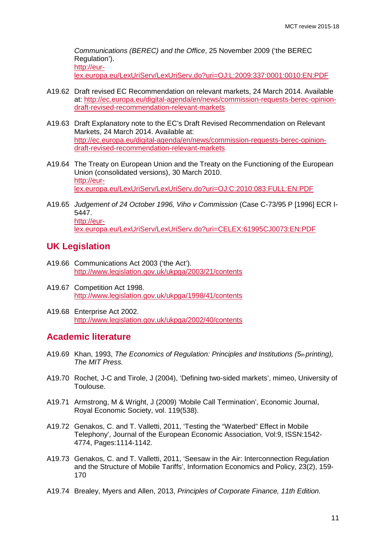*Communications (BEREC) and the Office*, 25 November 2009 ('the BEREC Regulation'). [http://eur-](http://eur-lex.europa.eu/LexUriServ/LexUriServ.do?uri=OJ:L:2009:337:0001:0010:EN:PDF)

[lex.europa.eu/LexUriServ/LexUriServ.do?uri=OJ:L:2009:337:0001:0010:EN:PDF](http://eur-lex.europa.eu/LexUriServ/LexUriServ.do?uri=OJ:L:2009:337:0001:0010:EN:PDF)

- A19.62 Draft revised EC Recommendation on relevant markets, 24 March 2014. Available at: [http://ec.europa.eu/digital-agenda/en/news/commission-requests-berec-opinion](http://ec.europa.eu/digital-agenda/en/news/commission-requests-berec-opinion-draft-revised-recommendation-relevant-markets)[draft-revised-recommendation-relevant-markets](http://ec.europa.eu/digital-agenda/en/news/commission-requests-berec-opinion-draft-revised-recommendation-relevant-markets)
- A19.63 Draft Explanatory note to the EC's Draft Revised Recommendation on Relevant Markets, 24 March 2014. Available at: [http://ec.europa.eu/digital-agenda/en/news/commission-requests-berec-opinion](http://ec.europa.eu/digital-agenda/en/news/commission-requests-berec-opinion-draft-revised-recommendation-relevant-markets)[draft-revised-recommendation-relevant-markets](http://ec.europa.eu/digital-agenda/en/news/commission-requests-berec-opinion-draft-revised-recommendation-relevant-markets)
- A19.64 The Treaty on European Union and the Treaty on the Functioning of the European Union (consolidated versions), 30 March 2010. [http://eur](http://eur-lex.europa.eu/LexUriServ/LexUriServ.do?uri=OJ:C:2010:083:FULL:EN:PDF)[lex.europa.eu/LexUriServ/LexUriServ.do?uri=OJ:C:2010:083:FULL:EN:PDF](http://eur-lex.europa.eu/LexUriServ/LexUriServ.do?uri=OJ:C:2010:083:FULL:EN:PDF)
- A19.65 *Judgement of 24 October 1996, Viho v Commission* (Case C-73/95 P [1996] ECR I-5447. [http://eur](http://eur-lex.europa.eu/LexUriServ/LexUriServ.do?uri=CELEX:61995CJ0073:EN:PDF)[lex.europa.eu/LexUriServ/LexUriServ.do?uri=CELEX:61995CJ0073:EN:PDF](http://eur-lex.europa.eu/LexUriServ/LexUriServ.do?uri=CELEX:61995CJ0073:EN:PDF)

# **UK Legislation**

- A19.66 Communications Act 2003 ('the Act'). <http://www.legislation.gov.uk/ukpga/2003/21/contents>
- A19.67 Competition Act 1998. <http://www.legislation.gov.uk/ukpga/1998/41/contents>
- A19.68 Enterprise Act 2002. <http://www.legislation.gov.uk/ukpga/2002/40/contents>

# **Academic literature**

- A19.69 Khan, 1993, *The Economics of Regulation: Principles and Institutions (5th printing), The MIT Press.*
- A19.70 Rochet, J-C and Tirole, J (2004), 'Defining two-sided markets', mimeo, University of Toulouse.
- A19.71 Armstrong, M & Wright, J (2009) 'Mobile Call Termination', Economic Journal, Royal Economic Society, vol. 119(538).
- A19.72 Genakos, C. and T. Valletti, 2011, 'Testing the "Waterbed" Effect in Mobile Telephony', Journal of the European Economic Association, Vol:9, ISSN:1542- 4774, Pages:1114-1142.
- A19.73 Genakos, C. and T. Valletti, 2011, 'Seesaw in the Air: Interconnection Regulation and the Structure of Mobile Tariffs', Information Economics and Policy, 23(2), 159- 170
- A19.74 Brealey, Myers and Allen, 2013, *Principles of Corporate Finance, 11th Edition.*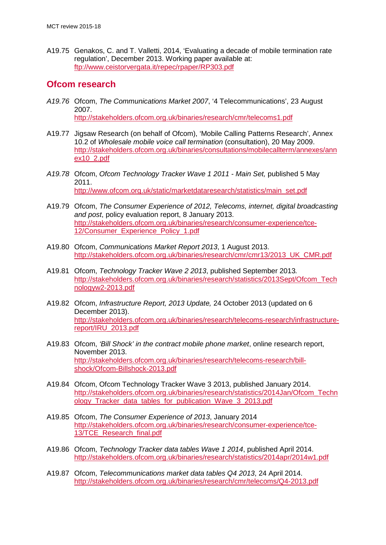A19.75 Genakos, C. and T. Valletti, 2014, 'Evaluating a decade of mobile termination rate regulation', December 2013. Working paper available at: <ftp://www.ceistorvergata.it/repec/rpaper/RP303.pdf>

# **Ofcom research**

- *A19.76* Ofcom, *The Communications Market 2007*, '4 Telecommunications', 23 August 2007. <http://stakeholders.ofcom.org.uk/binaries/research/cmr/telecoms1.pdf>
- A19.77 Jigsaw Research (on behalf of Ofcom), 'Mobile Calling Patterns Research', Annex 10.2 of *Wholesale mobile voice call termination* (consultation), 20 May 2009. [http://stakeholders.ofcom.org.uk/binaries/consultations/mobilecallterm/annexes/ann](http://stakeholders.ofcom.org.uk/binaries/consultations/mobilecallterm/annexes/annex10_2.pdf) [ex10\\_2.pdf](http://stakeholders.ofcom.org.uk/binaries/consultations/mobilecallterm/annexes/annex10_2.pdf)
- *A19.78* Ofcom, *Ofcom Technology Tracker Wave 1 2011 - Main Set,* published 5 May 2011. [http://www.ofcom.org.uk/static/marketdataresearch/statistics/main\\_set.pdf](http://www.ofcom.org.uk/static/marketdataresearch/statistics/main_set.pdf)
- A19.79 Ofcom, *The Consumer Experience of 2012, Telecoms, internet, digital broadcasting and post*, policy evaluation report, 8 January 2013. [http://stakeholders.ofcom.org.uk/binaries/research/consumer-experience/tce-](http://stakeholders.ofcom.org.uk/binaries/research/consumer-experience/tce-12/Consumer_Experience_Policy_1.pdf)[12/Consumer\\_Experience\\_Policy\\_1.pdf](http://stakeholders.ofcom.org.uk/binaries/research/consumer-experience/tce-12/Consumer_Experience_Policy_1.pdf)
- A19.80 Ofcom, *Communications Market Report 2013*, 1 August 2013. [http://stakeholders.ofcom.org.uk/binaries/research/cmr/cmr13/2013\\_UK\\_CMR.pdf](http://stakeholders.ofcom.org.uk/binaries/research/cmr/cmr13/2013_UK_CMR.pdf)
- A19.81 Ofcom, *Technology Tracker Wave 2 2013*, published September 2013*.*  [http://stakeholders.ofcom.org.uk/binaries/research/statistics/2013Sept/Ofcom\\_Tech](http://stakeholders.ofcom.org.uk/binaries/research/statistics/2013Sept/Ofcom_Technologyw2-2013.pdf) [nologyw2-2013.pdf](http://stakeholders.ofcom.org.uk/binaries/research/statistics/2013Sept/Ofcom_Technologyw2-2013.pdf)
- A19.82 Ofcom, *Infrastructure Report, 2013 Update,* 24 October 2013 (updated on 6 December 2013). [http://stakeholders.ofcom.org.uk/binaries/research/telecoms-research/infrastructure](http://stakeholders.ofcom.org.uk/binaries/research/telecoms-research/infrastructure-report/IRU_2013.pdf)[report/IRU\\_2013.pdf](http://stakeholders.ofcom.org.uk/binaries/research/telecoms-research/infrastructure-report/IRU_2013.pdf)
- A19.83 Ofcom, *'Bill Shock' in the contract mobile phone market*, online research report, November 2013. [http://stakeholders.ofcom.org.uk/binaries/research/telecoms-research/bill](http://stakeholders.ofcom.org.uk/binaries/research/telecoms-research/bill-shock/Ofcom-Billshock-2013.pdf)[shock/Ofcom-Billshock-2013.pdf](http://stakeholders.ofcom.org.uk/binaries/research/telecoms-research/bill-shock/Ofcom-Billshock-2013.pdf)
- A19.84 Ofcom, Ofcom Technology Tracker Wave 3 2013, published January 2014. [http://stakeholders.ofcom.org.uk/binaries/research/statistics/2014Jan/Ofcom\\_Techn](http://stakeholders.ofcom.org.uk/binaries/research/statistics/2014Jan/Ofcom_Technology_Tracker_data_tables_for_publication_Wave_3_2013.pdf) [ology\\_Tracker\\_data\\_tables\\_for\\_publication\\_Wave\\_3\\_2013.pdf](http://stakeholders.ofcom.org.uk/binaries/research/statistics/2014Jan/Ofcom_Technology_Tracker_data_tables_for_publication_Wave_3_2013.pdf)
- A19.85 Ofcom, *The Consumer Experience of 2013*, January 2014 [http://stakeholders.ofcom.org.uk/binaries/research/consumer-experience/tce-](http://stakeholders.ofcom.org.uk/binaries/research/consumer-experience/tce-13/TCE_Research_final.pdf)[13/TCE\\_Research\\_final.pdf](http://stakeholders.ofcom.org.uk/binaries/research/consumer-experience/tce-13/TCE_Research_final.pdf)
- A19.86 Ofcom, *Technology Tracker data tables Wave 1 2014*, published April 2014. <http://stakeholders.ofcom.org.uk/binaries/research/statistics/2014apr/2014w1.pdf>
- A19.87 Ofcom, *Telecommunications market data tables Q4 2013*, 24 April 2014. <http://stakeholders.ofcom.org.uk/binaries/research/cmr/telecoms/Q4-2013.pdf>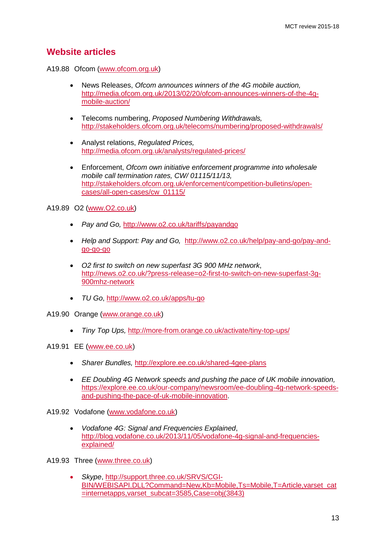# **Website articles**

A19.88 Ofcom [\(www.ofcom.org.uk\)](http://www.ofcom.org.uk/)

- News Releases, *Ofcom announces winners of the 4G mobile auction,* [http://media.ofcom.org.uk/2013/02/20/ofcom-announces-winners-of-the-4g](http://media.ofcom.org.uk/2013/02/20/ofcom-announces-winners-of-the-4g-mobile-auction/)[mobile-auction/](http://media.ofcom.org.uk/2013/02/20/ofcom-announces-winners-of-the-4g-mobile-auction/)
- Telecoms numbering, *Proposed Numbering Withdrawals,* <http://stakeholders.ofcom.org.uk/telecoms/numbering/proposed-withdrawals/>
- Analyst relations, *Regulated Prices,*  <http://media.ofcom.org.uk/analysts/regulated-prices/>
- Enforcement, *Ofcom own initiative enforcement programme into wholesale mobile call termination rates, CW/ 01115/11/13,* [http://stakeholders.ofcom.org.uk/enforcement/competition-bulletins/open](http://stakeholders.ofcom.org.uk/enforcement/competition-bulletins/open-cases/all-open-cases/cw_01115/)[cases/all-open-cases/cw\\_01115/](http://stakeholders.ofcom.org.uk/enforcement/competition-bulletins/open-cases/all-open-cases/cw_01115/)

A19.89 O2 [\(www.O2.co.uk\)](http://www.o2.co.uk/)

- *Pay and Go,* <http://www.o2.co.uk/tariffs/payandgo>
- *Help and Support: Pay and Go,* [http://www.o2.co.uk/help/pay-and-go/pay-and](http://www.o2.co.uk/help/pay-and-go/pay-and-go-go-go)[go-go-go](http://www.o2.co.uk/help/pay-and-go/pay-and-go-go-go)
- *O2 first to switch on new superfast 3G 900 MHz network*, [http://news.o2.co.uk/?press-release=o2-first-to-switch-on-new-superfast-3g-](http://news.o2.co.uk/?press-release=o2-first-to-switch-on-new-superfast-3g-900mhz-network)[900mhz-network](http://news.o2.co.uk/?press-release=o2-first-to-switch-on-new-superfast-3g-900mhz-network)
- *TU Go*, <http://www.o2.co.uk/apps/tu-go>
- A19.90 Orange [\(www.orange.co.uk\)](http://www.orange.co.uk/)
	- *Tiny Top Ups,* <http://more-from.orange.co.uk/activate/tiny-top-ups/>

A19.91 EE [\(www.ee.co.uk\)](http://www.ee.co.uk/)

- *Sharer Bundles,* <http://explore.ee.co.uk/shared-4gee-plans>
- *EE Doubling 4G Network speeds and pushing the pace of UK mobile innovation,* [https://explore.ee.co.uk/our-company/newsroom/ee-doubling-4g-network-speeds](https://explore.ee.co.uk/our-company/newsroom/ee-doubling-4g-network-speeds-and-pushing-the-pace-of-uk-mobile-innovation)[and-pushing-the-pace-of-uk-mobile-innovation.](https://explore.ee.co.uk/our-company/newsroom/ee-doubling-4g-network-speeds-and-pushing-the-pace-of-uk-mobile-innovation)

A19.92 Vodafone [\(www.vodafone.co.uk\)](http://www.vodafone.co.uk/)

• *Vodafone 4G: Signal and Frequencies Explained*, [http://blog.vodafone.co.uk/2013/11/05/vodafone-4g-signal-and-frequencies](http://blog.vodafone.co.uk/2013/11/05/vodafone-4g-signal-and-frequencies-explained/)[explained/](http://blog.vodafone.co.uk/2013/11/05/vodafone-4g-signal-and-frequencies-explained/)

A19.93 Three [\(www.three.co.uk\)](http://www.three.co.uk/)

• *Skype*, [http://support.three.co.uk/SRVS/CGI-](http://support.three.co.uk/SRVS/CGI-BIN/WEBISAPI.DLL?Command=New,Kb=Mobile,Ts=Mobile,T=Article,varset_cat=internetapps,varset_subcat=3585,Case=obj(3843))[BIN/WEBISAPI.DLL?Command=New,Kb=Mobile,Ts=Mobile,T=Article,varset\\_cat](http://support.three.co.uk/SRVS/CGI-BIN/WEBISAPI.DLL?Command=New,Kb=Mobile,Ts=Mobile,T=Article,varset_cat=internetapps,varset_subcat=3585,Case=obj(3843)) [=internetapps,varset\\_subcat=3585,Case=obj\(3843\)](http://support.three.co.uk/SRVS/CGI-BIN/WEBISAPI.DLL?Command=New,Kb=Mobile,Ts=Mobile,T=Article,varset_cat=internetapps,varset_subcat=3585,Case=obj(3843))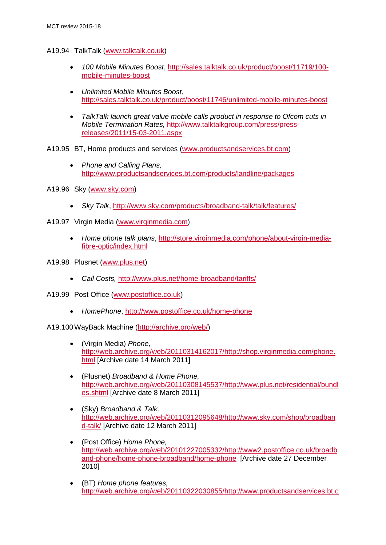- A19.94 TalkTalk [\(www.talktalk.co.uk\)](http://www.talktalk.co.uk/)
	- *100 Mobile Minutes Boost*, [http://sales.talktalk.co.uk/product/boost/11719/100](http://sales.talktalk.co.uk/product/boost/11719/100-mobile-minutes-boost) [mobile-minutes-boost](http://sales.talktalk.co.uk/product/boost/11719/100-mobile-minutes-boost)
	- *Unlimited Mobile Minutes Boost,*  <http://sales.talktalk.co.uk/product/boost/11746/unlimited-mobile-minutes-boost>
	- *TalkTalk launch great value mobile calls product in response to Ofcom cuts in Mobile Termination Rates,* [http://www.talktalkgroup.com/press/press](http://www.talktalkgroup.com/press/press-releases/2011/15-03-2011.aspx)[releases/2011/15-03-2011.aspx](http://www.talktalkgroup.com/press/press-releases/2011/15-03-2011.aspx)

A19.95 BT, Home products and services [\(www.productsandservices.bt.com\)](http://www.productsandservices.bt.com/)

- *Phone and Calling Plans,*  <http://www.productsandservices.bt.com/products/landline/packages>
- A19.96 Sky [\(www.sky.com\)](http://www.sky.com/)
	- *Sky Talk*,<http://www.sky.com/products/broadband-talk/talk/features/>
- A19.97 Virgin Media [\(www.virginmedia.com\)](http://www.virginmedia.com/)
	- *Home phone talk plans*, [http://store.virginmedia.com/phone/about-virgin-media](http://store.virginmedia.com/phone/about-virgin-media-fibre-optic/index.html)[fibre-optic/index.html](http://store.virginmedia.com/phone/about-virgin-media-fibre-optic/index.html)
- A19.98 Plusnet [\(www.plus.net\)](http://www.plus.net/)
	- *Call Costs,* <http://www.plus.net/home-broadband/tariffs/>
- A19.99 Post Office [\(www.postoffice.co.uk\)](http://www.postoffice.co.uk/)
	- *HomePhone*,<http://www.postoffice.co.uk/home-phone>

A19.100WayBack Machine [\(http://archive.org/web/\)](http://archive.org/web/)

- (Virgin Media) *Phone,* [http://web.archive.org/web/20110314162017/http://shop.virginmedia.com/phone.](http://web.archive.org/web/20110314162017/http:/shop.virginmedia.com/phone.html) [html](http://web.archive.org/web/20110314162017/http:/shop.virginmedia.com/phone.html) [Archive date 14 March 2011]
- (Plusnet) *Broadband & Home Phone,*  [http://web.archive.org/web/20110308145537/http://www.plus.net/residential/bundl](http://web.archive.org/web/20110308145537/http:/www.plus.net/residential/bundles.shtml) [es.shtml](http://web.archive.org/web/20110308145537/http:/www.plus.net/residential/bundles.shtml) [Archive date 8 March 2011]
- (Sky) *Broadband & Talk,* [http://web.archive.org/web/20110312095648/http://www.sky.com/shop/broadban](http://web.archive.org/web/20110312095648/http:/www.sky.com/shop/broadband-talk/) [d-talk/](http://web.archive.org/web/20110312095648/http:/www.sky.com/shop/broadband-talk/) [Archive date 12 March 2011]
- (Post Office) *Home Phone,*  [http://web.archive.org/web/20101227005332/http://www2.postoffice.co.uk/broadb](http://web.archive.org/web/20101227005332/http:/www2.postoffice.co.uk/broadband-phone/home-phone-broadband/home-phone) [and-phone/home-phone-broadband/home-phone](http://web.archive.org/web/20101227005332/http:/www2.postoffice.co.uk/broadband-phone/home-phone-broadband/home-phone) [Archive date 27 December 2010]
- (BT) *Home phone features,*  [http://web.archive.org/web/20110322030855/http://www.productsandservices.bt.c](http://web.archive.org/web/20110322030855/http:/www.productsandservices.bt.com/consumerProducts/displayTopic.do?topicId=31678)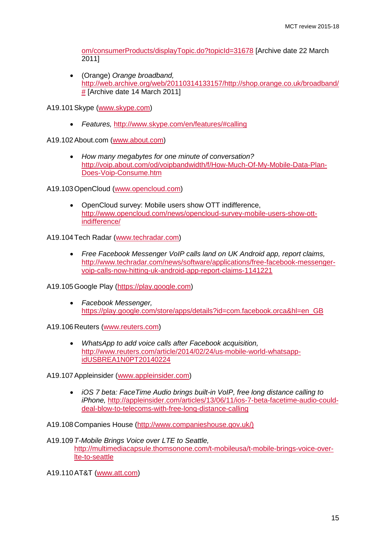[om/consumerProducts/displayTopic.do?topicId=31678](http://web.archive.org/web/20110322030855/http:/www.productsandservices.bt.com/consumerProducts/displayTopic.do?topicId=31678) [Archive date 22 March 2011]

• (Orange) *Orange broadband,*  [http://web.archive.org/web/20110314133157/http://shop.orange.co.uk/broadband/](http://web.archive.org/web/20110314133157/http:/shop.orange.co.uk/broadband/) [#](http://web.archive.org/web/20110314133157/http:/shop.orange.co.uk/broadband/) [Archive date 14 March 2011]

A19.101Skype [\(www.skype.com\)](http://www.skype.com/)

• *Features,* [http://www.skype.com/en/features/#calling](http://www.skype.com/en/features/%23calling)

A19.102About.com [\(www.about.com\)](http://www.about.com/)

• *How many megabytes for one minute of conversation?*  [http://voip.about.com/od/voipbandwidth/f/How-Much-Of-My-Mobile-Data-Plan-](http://voip.about.com/od/voipbandwidth/f/How-Much-Of-My-Mobile-Data-Plan-Does-Voip-Consume.htm)[Does-Voip-Consume.htm](http://voip.about.com/od/voipbandwidth/f/How-Much-Of-My-Mobile-Data-Plan-Does-Voip-Consume.htm)

A19.103OpenCloud [\(www.opencloud.com\)](http://www.opencloud.com/)

• OpenCloud survey: Mobile users show OTT indifference, [http://www.opencloud.com/news/opencloud-survey-mobile-users-show-ott](http://www.opencloud.com/news/opencloud-survey-mobile-users-show-ott-indifference/)[indifference/](http://www.opencloud.com/news/opencloud-survey-mobile-users-show-ott-indifference/)

A19.104Tech Radar [\(www.techradar.com\)](http://www.techradar.com/)

• *Free Facebook Messenger VoIP calls land on UK Android app, report claims,*  [http://www.techradar.com/news/software/applications/free-facebook-messenger](http://www.techradar.com/news/software/applications/free-facebook-messenger-voip-calls-now-hitting-uk-android-app-report-claims-1141221)[voip-calls-now-hitting-uk-android-app-report-claims-1141221](http://www.techradar.com/news/software/applications/free-facebook-messenger-voip-calls-now-hitting-uk-android-app-report-claims-1141221)

A19.105Google Play [\(https://play.google.com\)](https://play.google.com/)

• *Facebook Messenger,*  [https://play.google.com/store/apps/details?id=com.facebook.orca&hl=en\\_GB](https://play.google.com/store/apps/details?id=com.facebook.orca&hl=en_GB)

A19.106Reuters [\(www.reuters.com\)](http://www.reuters.com/)

• *WhatsApp to add voice calls after Facebook acquisition,*  [http://www.reuters.com/article/2014/02/24/us-mobile-world-whatsapp](http://www.reuters.com/article/2014/02/24/us-mobile-world-whatsapp-idUSBREA1N0PT20140224)[idUSBREA1N0PT20140224](http://www.reuters.com/article/2014/02/24/us-mobile-world-whatsapp-idUSBREA1N0PT20140224)

A19.107Appleinsider [\(www.appleinsider.com\)](http://www.appleinsider.com/)

• *iOS 7 beta: FaceTime Audio brings built-in VoIP, free long distance calling to iPhone,* [http://appleinsider.com/articles/13/06/11/ios-7-beta-facetime-audio-could](http://appleinsider.com/articles/13/06/11/ios-7-beta-facetime-audio-could-deal-blow-to-telecoms-with-free-long-distance-calling)[deal-blow-to-telecoms-with-free-long-distance-calling](http://appleinsider.com/articles/13/06/11/ios-7-beta-facetime-audio-could-deal-blow-to-telecoms-with-free-long-distance-calling)

A19.108Companies House [\(http://www.companieshouse.gov.uk/\)](http://www.companieshouse.gov.uk/)

A19.109*T-Mobile Brings Voice over LTE to Seattle,* [http://multimediacapsule.thomsonone.com/t-mobileusa/t-mobile-brings-voice-over](http://multimediacapsule.thomsonone.com/t-mobileusa/t-mobile-brings-voice-over-lte-to-seattle)[lte-to-seattle](http://multimediacapsule.thomsonone.com/t-mobileusa/t-mobile-brings-voice-over-lte-to-seattle)

A19.110AT&T [\(www.att.com\)](http://www.att.com/)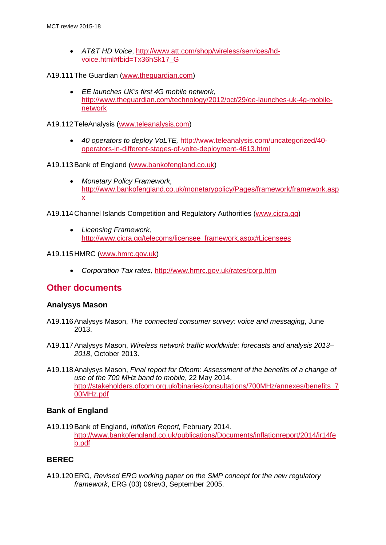• *AT&T HD Voice*, [http://www.att.com/shop/wireless/services/hd](http://www.att.com/shop/wireless/services/hd-voice.html%23fbid=Tx36hSk17_G)[voice.html#fbid=Tx36hSk17\\_G](http://www.att.com/shop/wireless/services/hd-voice.html%23fbid=Tx36hSk17_G)

#### A19.111The Guardian [\(www.theguardian.com\)](http://www.theguardian.com/)

• *EE launches UK's first 4G mobile network*, [http://www.theguardian.com/technology/2012/oct/29/ee-launches-uk-4g-mobile](http://www.theguardian.com/technology/2012/oct/29/ee-launches-uk-4g-mobile-network)[network](http://www.theguardian.com/technology/2012/oct/29/ee-launches-uk-4g-mobile-network)

A19.112TeleAnalysis [\(www.teleanalysis.com\)](http://www.teleanalysis.com/)

• *40 operators to deploy VoLTE,* [http://www.teleanalysis.com/uncategorized/40](http://www.teleanalysis.com/uncategorized/40-operators-in-different-stages-of-volte-deployment-4613.html) [operators-in-different-stages-of-volte-deployment-4613.html](http://www.teleanalysis.com/uncategorized/40-operators-in-different-stages-of-volte-deployment-4613.html)

#### A19.113Bank of England [\(www.bankofengland.co.uk\)](http://www.bankofengland.co.uk/)

• *Monetary Policy Framework,*  [http://www.bankofengland.co.uk/monetarypolicy/Pages/framework/framework.asp](http://www.bankofengland.co.uk/monetarypolicy/Pages/framework/framework.aspx) [x](http://www.bankofengland.co.uk/monetarypolicy/Pages/framework/framework.aspx)

A19.114Channel Islands Competition and Regulatory Authorities [\(www.cicra.gg\)](http://www.cicra.gg/)

• *Licensing Framework,* [http://www.cicra.gg/telecoms/licensee\\_framework.aspx#Licensees](http://www.cicra.gg/telecoms/licensee_framework.aspx%23Licensees)

#### A19.115HMRC [\(www.hmrc.gov.uk\)](http://www.hmrc.gov.uk/)

• *Corporation Tax rates,* <http://www.hmrc.gov.uk/rates/corp.htm>

# **Other documents**

#### **Analysys Mason**

- A19.116Analysys Mason, *The connected consumer survey: voice and messaging*, June 2013.
- A19.117Analysys Mason, *Wireless network traffic worldwide: forecasts and analysis 2013– 2018*, October 2013.
- A19.118Analysys Mason, *Final report for Ofcom: Assessment of the benefits of a change of use of the 700 MHz band to mobile*, 22 May 2014. [http://stakeholders.ofcom.org.uk/binaries/consultations/700MHz/annexes/benefits\\_7](http://stakeholders.ofcom.org.uk/binaries/consultations/700MHz/annexes/benefits_700MHz.pdf) [00MHz.pdf](http://stakeholders.ofcom.org.uk/binaries/consultations/700MHz/annexes/benefits_700MHz.pdf)

#### **Bank of England**

A19.119Bank of England, *Inflation Report,* February 2014. [http://www.bankofengland.co.uk/publications/Documents/inflationreport/2014/ir14fe](http://www.bankofengland.co.uk/publications/Documents/inflationreport/2014/ir14feb.pdf) [b.pdf](http://www.bankofengland.co.uk/publications/Documents/inflationreport/2014/ir14feb.pdf)

#### **BEREC**

A19.120ERG, *Revised ERG working paper on the SMP concept for the new regulatory framework*, ERG (03) 09rev3, September 2005.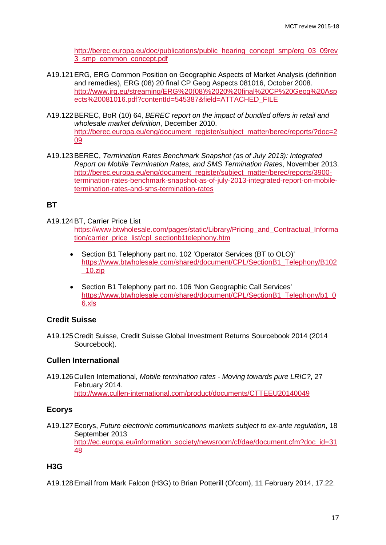[http://berec.europa.eu/doc/publications/public\\_hearing\\_concept\\_smp/erg\\_03\\_09rev](http://berec.europa.eu/doc/publications/public_hearing_concept_smp/erg_03_09rev3_smp_common_concept.pdf) [3\\_smp\\_common\\_concept.pdf](http://berec.europa.eu/doc/publications/public_hearing_concept_smp/erg_03_09rev3_smp_common_concept.pdf)

- A19.121ERG, ERG Common Position on Geographic Aspects of Market Analysis (definition and remedies), ERG (08) 20 final CP Geog Aspects 081016, October 2008. [http://www.irg.eu/streaming/ERG%20\(08\)%2020%20final%20CP%20Geog%20Asp](http://www.irg.eu/streaming/ERG%20(08)%2020%20final%20CP%20Geog%20Aspects%20081016.pdf?contentId=545387&field=ATTACHED_FILE) [ects%20081016.pdf?contentId=545387&field=ATTACHED\\_FILE](http://www.irg.eu/streaming/ERG%20(08)%2020%20final%20CP%20Geog%20Aspects%20081016.pdf?contentId=545387&field=ATTACHED_FILE)
- A19.122BEREC, BoR (10) 64, *BEREC report on the impact of bundled offers in retail and wholesale market definition*, December 2010. [http://berec.europa.eu/eng/document\\_register/subject\\_matter/berec/reports/?doc=2](http://berec.europa.eu/eng/document_register/subject_matter/berec/reports/?doc=209) [09](http://berec.europa.eu/eng/document_register/subject_matter/berec/reports/?doc=209)
- A19.123BEREC, *Termination Rates Benchmark Snapshot (as of July 2013): Integrated Report on Mobile Termination Rates, and SMS Termination Rates*, November 2013. [http://berec.europa.eu/eng/document\\_register/subject\\_matter/berec/reports/3900](http://berec.europa.eu/eng/document_register/subject_matter/berec/reports/3900-termination-rates-benchmark-snapshot-as-of-july-2013-integrated-report-on-mobile-termination-rates-and-sms-termination-rates) [termination-rates-benchmark-snapshot-as-of-july-2013-integrated-report-on-mobile](http://berec.europa.eu/eng/document_register/subject_matter/berec/reports/3900-termination-rates-benchmark-snapshot-as-of-july-2013-integrated-report-on-mobile-termination-rates-and-sms-termination-rates)[termination-rates-and-sms-termination-rates](http://berec.europa.eu/eng/document_register/subject_matter/berec/reports/3900-termination-rates-benchmark-snapshot-as-of-july-2013-integrated-report-on-mobile-termination-rates-and-sms-termination-rates)

# **BT**

A19.124BT, Carrier Price List

[https://www.btwholesale.com/pages/static/Library/Pricing\\_and\\_Contractual\\_Informa](https://www.btwholesale.com/pages/static/Library/Pricing_and_Contractual_Information/carrier_price_list/cpl_sectionb1telephony.htm) [tion/carrier\\_price\\_list/cpl\\_sectionb1telephony.htm](https://www.btwholesale.com/pages/static/Library/Pricing_and_Contractual_Information/carrier_price_list/cpl_sectionb1telephony.htm)

- Section B1 Telephony part no. 102 'Operator Services (BT to OLO)' [https://www.btwholesale.com/shared/document/CPL/SectionB1\\_Telephony/B102](https://www.btwholesale.com/shared/document/CPL/SectionB1_Telephony/B102_10.zip) [\\_10.zip](https://www.btwholesale.com/shared/document/CPL/SectionB1_Telephony/B102_10.zip)
- Section B1 Telephony part no. 106 'Non Geographic Call Services' [https://www.btwholesale.com/shared/document/CPL/SectionB1\\_Telephony/b1\\_0](https://www.btwholesale.com/shared/document/CPL/SectionB1_Telephony/b1_06.xls)\_ [6.xls](https://www.btwholesale.com/shared/document/CPL/SectionB1_Telephony/b1_06.xls)

## **Credit Suisse**

A19.125Credit Suisse, Credit Suisse Global Investment Returns Sourcebook 2014 (2014 Sourcebook).

## **Cullen International**

A19.126Cullen International, *Mobile termination rates - Moving towards pure LRIC?*, 27 February 2014. <http://www.cullen-international.com/product/documents/CTTEEU20140049>

## **Ecorys**

A19.127Ecorys, *Future electronic communications markets subject to ex-ante regulation*, 18 September 2013 [http://ec.europa.eu/information\\_society/newsroom/cf/dae/document.cfm?doc\\_id=31](http://ec.europa.eu/information_society/newsroom/cf/dae/document.cfm?doc_id=3148) [48](http://ec.europa.eu/information_society/newsroom/cf/dae/document.cfm?doc_id=3148) 

# **H3G**

A19.128Email from Mark Falcon (H3G) to Brian Potterill (Ofcom), 11 February 2014, 17.22.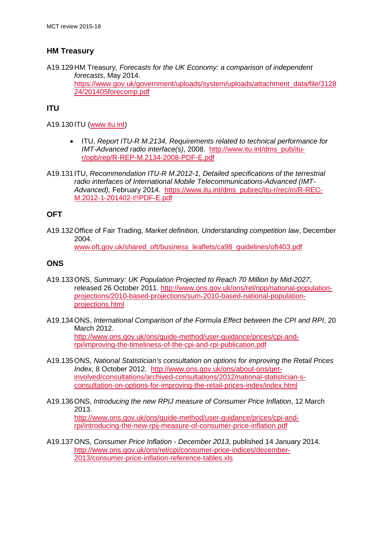# **HM Treasury**

A19.129HM Treasury, *Forecasts for the UK Economy: a comparison of independent forecasts*, May 2014. [https://www.gov.uk/government/uploads/system/uploads/attachment\\_data/file/3128](https://www.gov.uk/government/uploads/system/uploads/attachment_data/file/312824/201405forecomp.pdf) [24/201405forecomp.pdf](https://www.gov.uk/government/uploads/system/uploads/attachment_data/file/312824/201405forecomp.pdf)

# **ITU**

A19.130 ITU [\(www.itu.int\)](http://www.itu.int/)

- ITU, *Report ITU-R M.2134, Requirements related to technical performance for IMT-Advanced radio interface(s)*, 2008. [http://www.itu.int/dms\\_pub/itu](http://www.itu.int/dms_pub/itu-r/opb/rep/R-REP-M.2134-2008-PDF-E.pdf)[r/opb/rep/R-REP-M.2134-2008-PDF-E.pdf](http://www.itu.int/dms_pub/itu-r/opb/rep/R-REP-M.2134-2008-PDF-E.pdf)
- A19.131 ITU, *Recommendation ITU-R M.2012-1, Detailed specifications of the terrestrial radio interfaces of International Mobile Telecommunications-Advanced (IMT-Advanced),* February 2014. [https://www.itu.int/dms\\_pubrec/itu-r/rec/m/R-REC-](https://www.itu.int/dms_pubrec/itu-r/rec/m/R-REC-M.2012-1-201402-I!!PDF-E.pdf)[M.2012-1-201402-I!!PDF-E.pdf](https://www.itu.int/dms_pubrec/itu-r/rec/m/R-REC-M.2012-1-201402-I!!PDF-E.pdf)

# **OFT**

A19.132Office of Fair Trading, *Market definition, Understanding competition law*, December 2004. [www.oft.gov.uk/shared\\_oft/business\\_leaflets/ca98\\_guidelines/oft403.pdf](http://www.oft.gov.uk/shared_oft/business_leaflets/ca98_guidelines/oft403.pdf)

## **ONS**

- A19.133ONS, *Summary: UK Population Projected to Reach 70 Million by Mid-2027*, released 26 October 2011. [http://www.ons.gov.uk/ons/rel/npp/national-population](http://www.ons.gov.uk/ons/rel/npp/national-population-projections/2010-based-projections/sum-2010-based-national-population-projections.html)[projections/2010-based-projections/sum-2010-based-national-population](http://www.ons.gov.uk/ons/rel/npp/national-population-projections/2010-based-projections/sum-2010-based-national-population-projections.html)[projections.html](http://www.ons.gov.uk/ons/rel/npp/national-population-projections/2010-based-projections/sum-2010-based-national-population-projections.html)
- A19.134ONS, *International Comparison of the Formula Effect between the CPI and RPI*, 20 March 2012. [http://www.ons.gov.uk/ons/guide-method/user-guidance/prices/cpi-and](http://www.ons.gov.uk/ons/guide-method/user-guidance/prices/cpi-and-rpi/improving-the-timeliness-of-the-cpi-and-rpi-publication.pdf)[rpi/improving-the-timeliness-of-the-cpi-and-rpi-publication.pdf](http://www.ons.gov.uk/ons/guide-method/user-guidance/prices/cpi-and-rpi/improving-the-timeliness-of-the-cpi-and-rpi-publication.pdf)
- A19.135ONS, *National Statistician's consultation on options for improving the Retail Prices Index*, 8 October 2012. [http://www.ons.gov.uk/ons/about-ons/get](http://www.ons.gov.uk/ons/about-ons/get-involved/consultations/archived-consultations/2012/national-statistician-s-consultation-on-options-for-improving-the-retail-prices-index/index.html)[involved/consultations/archived-consultations/2012/national-statistician-s](http://www.ons.gov.uk/ons/about-ons/get-involved/consultations/archived-consultations/2012/national-statistician-s-consultation-on-options-for-improving-the-retail-prices-index/index.html)[consultation-on-options-for-improving-the-retail-prices-index/index.html](http://www.ons.gov.uk/ons/about-ons/get-involved/consultations/archived-consultations/2012/national-statistician-s-consultation-on-options-for-improving-the-retail-prices-index/index.html)
- A19.136ONS, *Introducing the new RPIJ measure of Consumer Price Inflation*, 12 March 2013. [http://www.ons.gov.uk/ons/guide-method/user-guidance/prices/cpi-and](http://www.ons.gov.uk/ons/guide-method/user-guidance/prices/cpi-and-rpi/introducing-the-new-rpij-measure-of-consumer-price-inflation.pdf)[rpi/introducing-the-new-rpij-measure-of-consumer-price-inflation.pdf](http://www.ons.gov.uk/ons/guide-method/user-guidance/prices/cpi-and-rpi/introducing-the-new-rpij-measure-of-consumer-price-inflation.pdf)
- A19.137ONS, *Consumer Price Inflation - December 2013*, published 14 January 2014. [http://www.ons.gov.uk/ons/rel/cpi/consumer-price-indices/december-](http://www.ons.gov.uk/ons/rel/cpi/consumer-price-indices/december-2013/consumer-price-inflation-reference-tables.xls)[2013/consumer-price-inflation-reference-tables.xls](http://www.ons.gov.uk/ons/rel/cpi/consumer-price-indices/december-2013/consumer-price-inflation-reference-tables.xls)